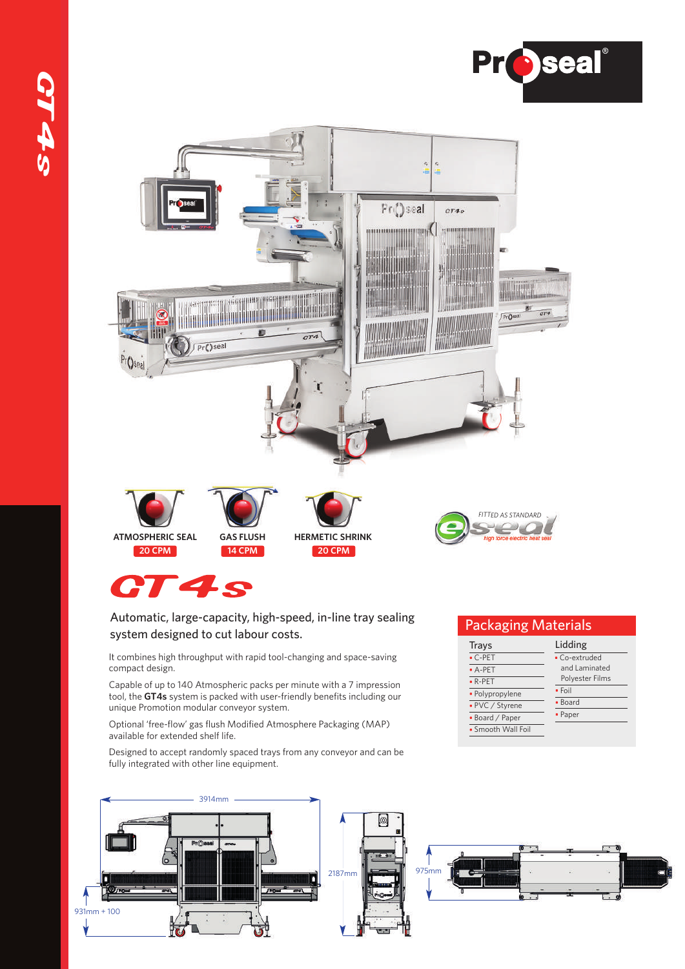



## CT4s

### Automatic, large-capacity, high-speed, in-line tray sealing system designed to cut labour costs.

It combines high throughput with rapid tool-changing and space-saving compact design.

Capable of up to 140 Atmospheric packs per minute with a 7 impression tool, the **GT4s** system is packed with user-friendly benefits including our unique Promotion modular conveyor system.

Optional 'free-flow' gas flush Modified Atmosphere Packaging (MAP) available for extended shelf life.

Designed to accept randomly spaced trays from any conveyor and can be fully integrated with other line equipment.



### Packaging Materials

| Trays              | Lidding         |
|--------------------|-----------------|
| $\cdot$ C-PET      | · Co-extruded   |
| $A-PET$            | and Laminated   |
| $\bullet$ R-PET    | Polyester Films |
| · Polypropylene    | $\cdot$ Foil    |
| • PVC / Styrene    | • Board         |
| • Board / Paper    | • Paper         |
| · Smooth Wall Foil |                 |
|                    |                 |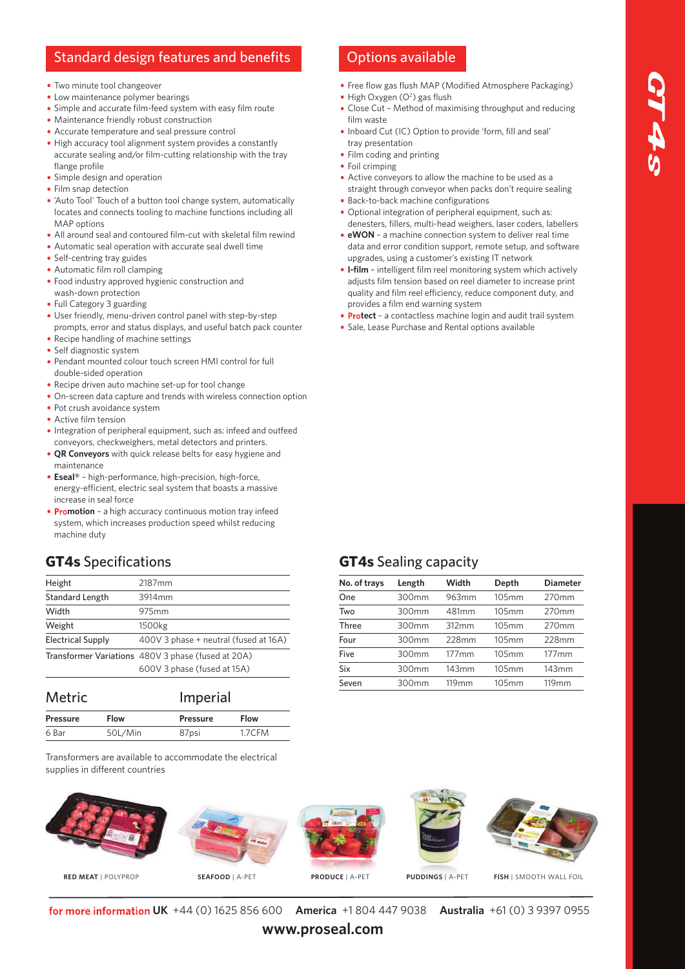# GT4  $\boldsymbol{\varphi}$

### Standard design features and benefits Options available

- Two minute tool changeover
- Low maintenance polymer bearings
- Simple and accurate film-feed system with easy film route
- Maintenance friendly robust construction
- Accurate temperature and seal pressure control
- High accuracy tool alignment system provides a constantly accurate sealing and/or film-cutting relationship with the tray flange profile
- **Simple design and operation**
- Film snap detection
- 'Auto Tool' Touch of a button tool change system, automatically locates and connects tooling to machine functions including all MAP options
- All around seal and contoured film-cut with skeletal film rewind
- Automatic seal operation with accurate seal dwell time
- Self-centring tray guides
- Automatic film roll clamping
- Food industry approved hygienic construction and wash-down protection
- Full Category 3 guarding
- User friendly, menu-driven control panel with step-by-step prompts, error and status displays, and useful batch pack counter • Recipe handling of machine settings
- Self diagnostic system
- Pendant mounted colour touch screen HMI control for full double-sided operation
- Recipe driven auto machine set-up for tool change
- On-screen data capture and trends with wireless connection option
- Pot crush avoidance system
- Active film tension
- **Integration of peripheral equipment, such as: infeed and outfeed** conveyors, checkweighers, metal detectors and printers.
- **QR Conveyors** with quick release belts for easy hygiene and maintenance
- **Eseal®** high-performance, high-precision, high-force, energy-efficient, electric seal system that boasts a massive increase in seal force
- **Promotion** a high accuracy continuous motion tray infeed system, which increases production speed whilst reducing machine duty

### **GT4s** Specifications

| Height                   | 2187 <sub>mm</sub>                                                                |
|--------------------------|-----------------------------------------------------------------------------------|
| <b>Standard Length</b>   | 3914mm                                                                            |
| Width                    | 975mm                                                                             |
| Weight                   | 1500kg                                                                            |
| <b>Electrical Supply</b> | 400V 3 phase + neutral (fused at 16A)                                             |
|                          | Transformer Variations 480V 3 phase (fused at 20A)<br>600V 3 phase (fused at 15A) |

| <b>Metric</b>   |         | Imperial        |             |
|-----------------|---------|-----------------|-------------|
| <b>Pressure</b> | Flow    | <b>Pressure</b> | <b>Flow</b> |
| 6 Bar           | 50L/Min | 87psi           | 1.7CFM      |

Transformers are available to accommodate the electrical supplies in different countries

- Free flow gas flush MAP (Modified Atmosphere Packaging) High Oxygen (O<sup>2</sup>) gas flush
- Close Cut Method of maximising throughput and reducing film waste
- Inboard Cut (IC) Option to provide 'form, fill and seal' tray presentation
- Film coding and printing
- Foil crimping
- Active conveyors to allow the machine to be used as a straight through conveyor when packs don't require sealing
- **Back-to-back machine configurations**
- Optional integration of peripheral equipment, such as: denesters, fillers, multi-head weighers, laser coders, labellers
- **eWON** a machine connection system to deliver real time data and error condition support, remote setup, and software upgrades, using a customer's existing IT network
- **I-film** intelligent film reel monitoring system which actively adjusts film tension based on reel diameter to increase print quality and film reel efficiency, reduce component duty, and provides a film end warning system
- **Protect** a contactless machine login and audit trail system
- Sale, Lease Purchase and Rental options available

### **GT4s** Sealing capacity

| No. of trays | Length | Width             | Depth | <b>Diameter</b> |
|--------------|--------|-------------------|-------|-----------------|
| One          | 300mm  | 963mm             | 105mm | 270mm           |
| Two          | 300mm  | 481mm             | 105mm | 270mm           |
| Three        | 300mm  | 312mm             | 105mm | 270mm           |
| Four         | 300mm  | 228mm             | 105mm | 228mm           |
| Five         | 300mm  | $177$ mm          | 105mm | $177$ mm        |
| Six          | 300mm  | 143mm             | 105mm | 143mm           |
| Seven        | 300mm  | 119 <sub>mm</sub> | 105mm | 119mm           |
|              |        |                   |       |                 |





**RED MEAT** | POLYPROP **SEAFOOD** | A-PET **PRODUCE** | A-PET **PUDDINGS** | A-PET **FISH** | SMOOTH WALL FOIL

**UK** +44 (0) 1625 856 600 **America** +1 804 447 9038 **Australia** +61 (0) 3 9397 0955

**www.proseal.com**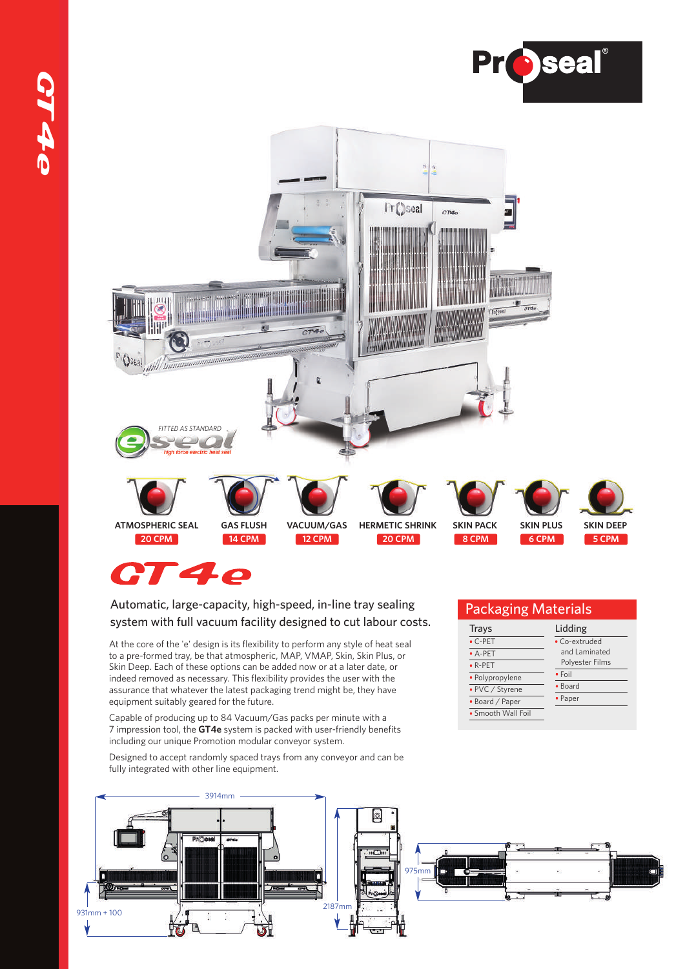



## CT4e

### Automatic, large-capacity, high-speed, in-line tray sealing system with full vacuum facility designed to cut labour costs.

At the core of the 'e' design is its flexibility to perform any style of heat seal to a pre-formed tray, be that atmospheric, MAP, VMAP, Skin, Skin Plus, or Skin Deep. Each of these options can be added now or at a later date, or indeed removed as necessary. This flexibility provides the user with the assurance that whatever the latest packaging trend might be, they have equipment suitably geared for the future.

Capable of producing up to 84 Vacuum/Gas packs per minute with a 7 impression tool, the **GT4e** system is packed with user-friendly benefits including our unique Promotion modular conveyor system.

Designed to accept randomly spaced trays from any conveyor and can be fully integrated with other line equipment.



| <b>Packaging Materials</b> |                 |  |  |
|----------------------------|-----------------|--|--|
| <b>Trays</b>               | Lidding         |  |  |
| $\cdot$ C-PET              | • Co-extruded   |  |  |
| $A-PET$                    | and Laminated   |  |  |
| $\bullet$ R-PET            | Polyester Films |  |  |
| · Polypropylene            | $\bullet$ Foil  |  |  |
| • PVC / Styrene            | • Board         |  |  |
| • Board / Paper            | • Paper         |  |  |
| • Smooth Wall Foil         |                 |  |  |
|                            |                 |  |  |